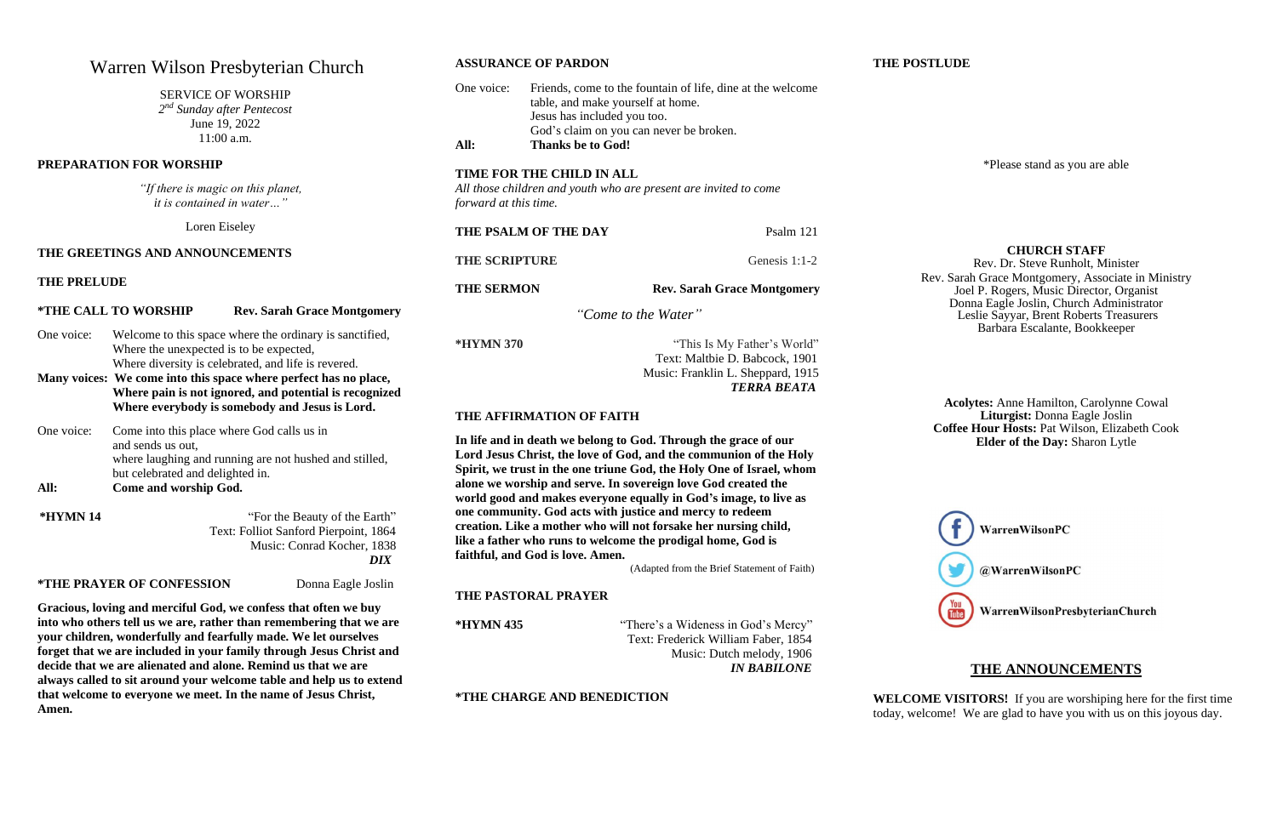## Warren Wilson Presbyterian Church

#### SERVICE OF WORSHIP

*2 nd Sunday after Pentecost* June 19, 2022 11:00 a.m.

#### **PREPARATION FOR WORSHIP**

*"If there is magic on this planet, it is contained in water…"*

Loren Eiseley

#### **THE GREETINGS AND ANNOUNCEMENTS**

#### **THE PRELUDE**

#### **\*THE CALL TO WORSHIP Rev. Sarah Grace Montgomery**

- One voice: Welcome to this space where the ordinary is sanctified, Where the unexpected is to be expected, Where diversity is celebrated, and life is revered.
- **Many voices: We come into this space where perfect has no place, Where pain is not ignored, and potential is recognized Where everybody is somebody and Jesus is Lord.**
- One voice: Come into this place where God calls us in and sends us out, where laughing and running are not hushed and stilled, but celebrated and delighted in. **All: Come and worship God.**

## Jesus has included you too. **All: Thanks be to God! TIME FOR THE CHILD IN ALL**  *All those children and youth who are present are invited to come forward at this time.*  **THE PSALM OF THE DAY** Psalm 121 **THE SCRIPTURE** Genesis 1:1-2 **THE SERMON Rev. Sarah Grace Montgomery**

**\*HYMN 14** "For the Beauty of the Earth" Text: Folliot Sanford Pierpoint, 1864 Music: Conrad Kocher, 1838  *DIX*

#### **\*THE PRAYER OF CONFESSION** Donna Eagle Joslin

**Gracious, loving and merciful God, we confess that often we buy into who others tell us we are, rather than remembering that we are your children, wonderfully and fearfully made. We let ourselves forget that we are included in your family through Jesus Christ and decide that we are alienated and alone. Remind us that we are always called to sit around your welcome table and help us to extend that welcome to everyone we meet. In the name of Jesus Christ, Amen.**

**ASSURANCE OF PARDON**

## One voice: Friends, come to the fountain of life, dine at the welcome table, and make yourself at home. God's claim on you can never be broken.

*"Come to the Water"*

**\*HYMN 370** "This Is My Father's World" Text: Maltbie D. Babcock, 1901 Music: Franklin L. Sheppard, 1915 *TERRA BEATA*

#### **THE AFFIRMATION OF FAITH**

**In life and in death we belong to God. Through the grace of our Lord Jesus Christ, the love of God, and the communion of the Holy Spirit, we trust in the one triune God, the Holy One of Israel, whom alone we worship and serve. In sovereign love God created the world good and makes everyone equally in God's image, to live as one community. God acts with justice and mercy to redeem creation. Like a mother who will not forsake her nursing child, like a father who runs to welcome the prodigal home, God is faithful, and God is love. Amen.**

(Adapted from the Brief Statement of Faith)

#### **THE PASTORAL PRAYER**

**\*HYMN 435** "There's a Wideness in God's Mercy" Text: Frederick William Faber, 1854 Music: Dutch melody, 1906  *IN BABILONE*

**\*THE CHARGE AND BENEDICTION** 

**THE POSTLUDE** 

\*Please stand as you are able

#### **CHURCH STAFF**

Rev. Dr. Steve Runholt, Minister Rev. Sarah Grace Montgomery, Associate in Ministry Joel P. Rogers, Music Director, Organist Donna Eagle Joslin, Church Administrator Leslie Sayyar, Brent Roberts Treasurers Barbara Escalante, Bookkeeper



### WarrenWilsonPresbyterianChurch

**Acolytes:** Anne Hamilton, Carolynne Cowal **Liturgist:** Donna Eagle Joslin **Coffee Hour Hosts:** Pat Wilson, Elizabeth Cook **Elder of the Day:** Sharon Lytle

#### **THE ANNOUNCEMENTS**

**WELCOME VISITORS!** If you are worshiping here for the first time today, welcome! We are glad to have you with us on this joyous day.